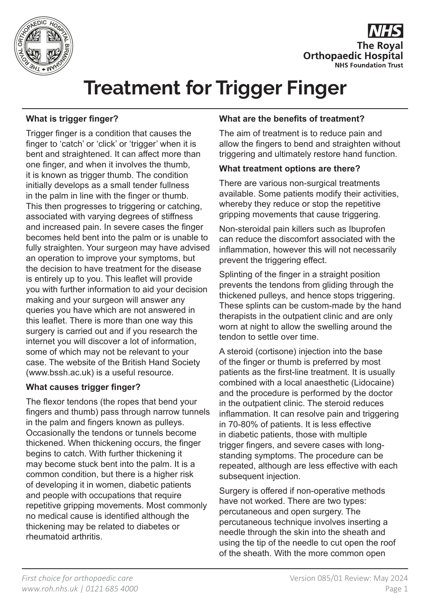



# **Treatment for Trigger Finger**

## **What is trigger finger?**

Trigger finger is a condition that causes the finger to 'catch' or 'click' or 'trigger' when it is bent and straightened. It can affect more than one finger, and when it involves the thumb, it is known as trigger thumb. The condition initially develops as a small tender fullness in the palm in line with the finger or thumb. This then progresses to triggering or catching, associated with varying degrees of stiffness and increased pain. In severe cases the finger becomes held bent into the palm or is unable to fully straighten. Your surgeon may have advised an operation to improve your symptoms, but the decision to have treatment for the disease is entirely up to you. This leaflet will provide you with further information to aid your decision making and your surgeon will answer any queries you have which are not answered in this leaflet. There is more than one way this surgery is carried out and if you research the internet you will discover a lot of information, some of which may not be relevant to your case. The website of the British Hand Society (www.bssh.ac.uk) is a useful resource.

## **What causes trigger finger?**

The flexor tendons (the ropes that bend your fingers and thumb) pass through narrow tunnels in the palm and fingers known as pulleys. Occasionally the tendons or tunnels become thickened. When thickening occurs, the finger begins to catch. With further thickening it may become stuck bent into the palm. It is a common condition, but there is a higher risk of developing it in women, diabetic patients and people with occupations that require repetitive gripping movements. Most commonly no medical cause is identified although the thickening may be related to diabetes or rheumatoid arthritis.

## **What are the benefits of treatment?**

The aim of treatment is to reduce pain and allow the fingers to bend and straighten without triggering and ultimately restore hand function.

#### **What treatment options are there?**

There are various non-surgical treatments available. Some patients modify their activities, whereby they reduce or stop the repetitive gripping movements that cause triggering.

Non-steroidal pain killers such as Ibuprofen can reduce the discomfort associated with the inflammation, however this will not necessarily prevent the triggering effect.

Splinting of the finger in a straight position prevents the tendons from gliding through the thickened pulleys, and hence stops triggering. These splints can be custom-made by the hand therapists in the outpatient clinic and are only worn at night to allow the swelling around the tendon to settle over time.

A steroid (cortisone) injection into the base of the finger or thumb is preferred by most patients as the first-line treatment. It is usually combined with a local anaesthetic (Lidocaine) and the procedure is performed by the doctor in the outpatient clinic. The steroid reduces inflammation. It can resolve pain and triggering in 70-80% of patients. It is less effective in diabetic patients, those with multiple trigger fingers, and severe cases with longstanding symptoms. The procedure can be repeated, although are less effective with each subsequent injection.

Surgery is offered if non-operative methods have not worked. There are two types: percutaneous and open surgery. The percutaneous technique involves inserting a needle through the skin into the sheath and using the tip of the needle to cut open the roof of the sheath. With the more common open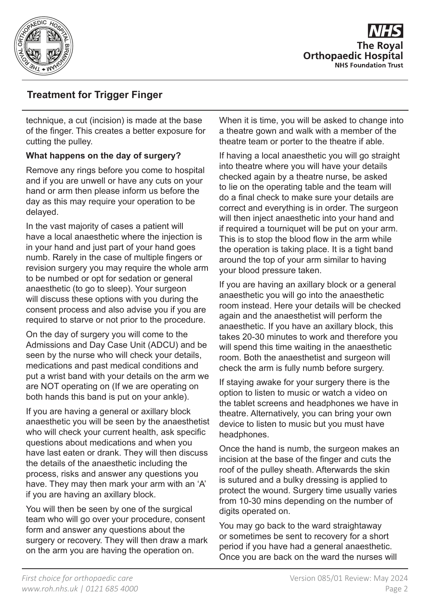

**The Roval Orthopaedic Hospital NHS Foundation Trust** 

# **Treatment for Trigger Finger**

technique, a cut (incision) is made at the base of the finger. This creates a better exposure for cutting the pulley.

#### **What happens on the day of surgery?**

Remove any rings before you come to hospital and if you are unwell or have any cuts on your hand or arm then please inform us before the day as this may require your operation to be delayed.

In the vast majority of cases a patient will have a local anaesthetic where the injection is in your hand and just part of your hand goes numb. Rarely in the case of multiple fingers or revision surgery you may require the whole arm to be numbed or opt for sedation or general anaesthetic (to go to sleep). Your surgeon will discuss these options with you during the consent process and also advise you if you are required to starve or not prior to the procedure.

On the day of surgery you will come to the Admissions and Day Case Unit (ADCU) and be seen by the nurse who will check your details, medications and past medical conditions and put a wrist band with your details on the arm we are NOT operating on (If we are operating on both hands this band is put on your ankle).

If you are having a general or axillary block anaesthetic you will be seen by the anaesthetist who will check your current health, ask specific questions about medications and when you have last eaten or drank. They will then discuss the details of the anaesthetic including the process, risks and answer any questions you have. They may then mark your arm with an 'A' if you are having an axillary block.

You will then be seen by one of the surgical team who will go over your procedure, consent form and answer any questions about the surgery or recovery. They will then draw a mark on the arm you are having the operation on.

When it is time, you will be asked to change into a theatre gown and walk with a member of the theatre team or porter to the theatre if able.

If having a local anaesthetic you will go straight into theatre where you will have your details checked again by a theatre nurse, be asked to lie on the operating table and the team will do a final check to make sure your details are correct and everything is in order. The surgeon will then inject anaesthetic into your hand and if required a tourniquet will be put on your arm. This is to stop the blood flow in the arm while the operation is taking place. It is a tight band around the top of your arm similar to having your blood pressure taken.

If you are having an axillary block or a general anaesthetic you will go into the anaesthetic room instead. Here your details will be checked again and the anaesthetist will perform the anaesthetic. If you have an axillary block, this takes 20-30 minutes to work and therefore you will spend this time waiting in the anaesthetic room. Both the anaesthetist and surgeon will check the arm is fully numb before surgery.

If staying awake for your surgery there is the option to listen to music or watch a video on the tablet screens and headphones we have in theatre. Alternatively, you can bring your own device to listen to music but you must have headphones.

Once the hand is numb, the surgeon makes an incision at the base of the finger and cuts the roof of the pulley sheath. Afterwards the skin is sutured and a bulky dressing is applied to protect the wound. Surgery time usually varies from 10-30 mins depending on the number of digits operated on.

You may go back to the ward straightaway or sometimes be sent to recovery for a short period if you have had a general anaesthetic. Once you are back on the ward the nurses will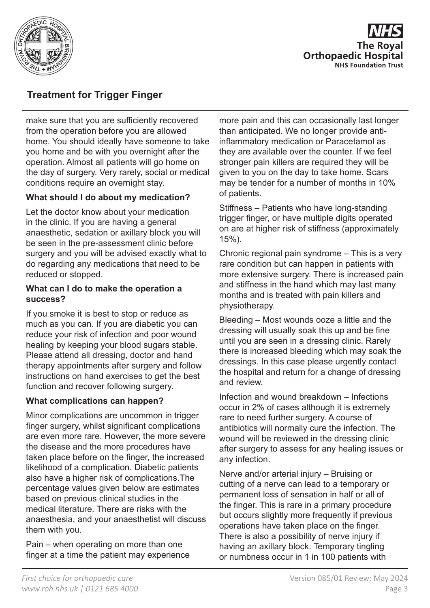

**The Roval Orthopaedic Hospital NHS Foundation Trust** 

# **Treatment for Trigger Finger**

make sure that you are sufficiently recovered from the operation before you are allowed home. You should ideally have someone to take you home and be with you overnight after the operation. Almost all patients will go home on the day of surgery. Very rarely, social or medical conditions require an overnight stay.

## **What should I do about my medication?**

Let the doctor know about your medication in the clinic. If you are having a general anaesthetic, sedation or axillary block you will be seen in the pre-assessment clinic before surgery and you will be advised exactly what to do regarding any medications that need to be reduced or stopped.

#### **What can I do to make the operation a success?**

If you smoke it is best to stop or reduce as much as you can. If you are diabetic you can reduce your risk of infection and poor wound healing by keeping your blood sugars stable. Please attend all dressing, doctor and hand therapy appointments after surgery and follow instructions on hand exercises to get the best function and recover following surgery.

#### **What complications can happen?**

Minor complications are uncommon in trigger finger surgery, whilst significant complications are even more rare. However, the more severe the disease and the more procedures have taken place before on the finger, the increased likelihood of a complication. Diabetic patients also have a higher risk of complications.The percentage values given below are estimates based on previous clinical studies in the medical literature. There are risks with the anaesthesia, and your anaesthetist will discuss them with you.

Pain – when operating on more than one finger at a time the patient may experience more pain and this can occasionally last longer than anticipated. We no longer provide antiinflammatory medication or Paracetamol as they are available over the counter. If we feel stronger pain killers are required they will be given to you on the day to take home. Scars may be tender for a number of months in 10% of patients.

Stiffness – Patients who have long-standing trigger finger, or have multiple digits operated on are at higher risk of stiffness (approximately 15%).

Chronic regional pain syndrome – This is a very rare condition but can happen in patients with more extensive surgery. There is increased pain and stiffness in the hand which may last many months and is treated with pain killers and physiotherapy.

Bleeding – Most wounds ooze a little and the dressing will usually soak this up and be fine until you are seen in a dressing clinic. Rarely there is increased bleeding which may soak the dressings. In this case please urgently contact the hospital and return for a change of dressing and review.

Infection and wound breakdown – Infections occur in 2% of cases although it is extremely rare to need further surgery. A course of antibiotics will normally cure the infection. The wound will be reviewed in the dressing clinic after surgery to assess for any healing issues or any infection.

Nerve and/or arterial injury – Bruising or cutting of a nerve can lead to a temporary or permanent loss of sensation in half or all of the finger. This is rare in a primary procedure but occurs slightly more frequently if previous operations have taken place on the finger. There is also a possibility of nerve injury if having an axillary block. Temporary tingling or numbness occur in 1 in 100 patients with